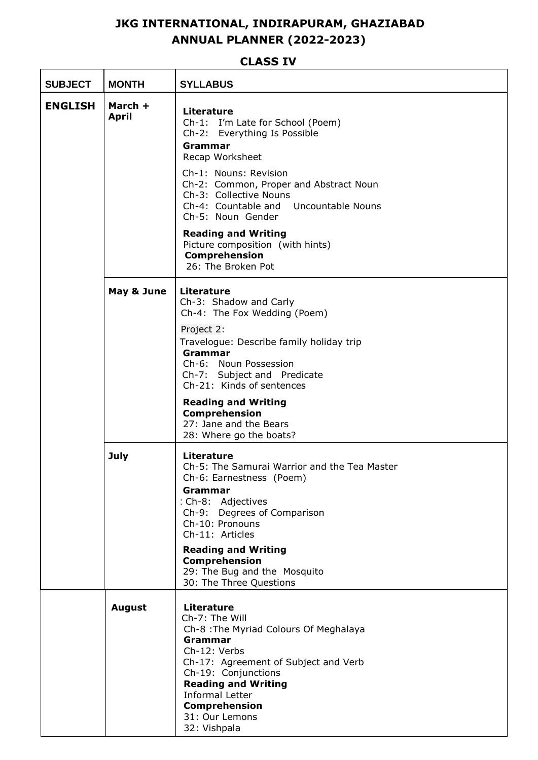## **JKG INTERNATIONAL, INDIRAPURAM, GHAZIABAD ANNUAL PLANNER (2022-2023)**

## **CLASS IV**

| <b>SUBJECT</b> | <b>MONTH</b>            | <b>SYLLABUS</b>                                                                                                                                                                                                                                                                                                                                                                                |  |
|----------------|-------------------------|------------------------------------------------------------------------------------------------------------------------------------------------------------------------------------------------------------------------------------------------------------------------------------------------------------------------------------------------------------------------------------------------|--|
| <b>ENGLISH</b> | March +<br><b>April</b> | <b>Literature</b><br>Ch-1: I'm Late for School (Poem)<br>Ch-2: Everything Is Possible<br><b>Grammar</b><br>Recap Worksheet<br>Ch-1: Nouns: Revision<br>Ch-2: Common, Proper and Abstract Noun<br>Ch-3: Collective Nouns<br>Ch-4: Countable and Uncountable Nouns<br>Ch-5: Noun Gender<br><b>Reading and Writing</b><br>Picture composition (with hints)<br>Comprehension<br>26: The Broken Pot |  |
|                | May & June              | Literature<br>Ch-3: Shadow and Carly<br>Ch-4: The Fox Wedding (Poem)<br>Project 2:<br>Travelogue: Describe family holiday trip<br><b>Grammar</b><br>Ch-6: Noun Possession<br>Ch-7: Subject and Predicate<br>Ch-21: Kinds of sentences<br><b>Reading and Writing</b><br>Comprehension<br>27: Jane and the Bears                                                                                 |  |
|                | <b>July</b>             | 28: Where go the boats?<br><b>Literature</b><br>Ch-5: The Samurai Warrior and the Tea Master<br>Ch-6: Earnestness (Poem)<br>Grammar<br>: Ch-8: Adjectives<br>Ch-9: Degrees of Comparison<br>Ch-10: Pronouns<br>Ch-11: Articles<br><b>Reading and Writing</b><br><b>Comprehension</b><br>29: The Bug and the Mosquito<br>30: The Three Questions                                                |  |
|                | <b>August</b>           | <b>Literature</b><br>Ch-7: The Will<br>Ch-8 : The Myriad Colours Of Meghalaya<br>Grammar<br>Ch-12: Verbs<br>Ch-17: Agreement of Subject and Verb<br>Ch-19: Conjunctions<br><b>Reading and Writing</b><br><b>Informal Letter</b><br><b>Comprehension</b><br>31: Our Lemons<br>32: Vishpala                                                                                                      |  |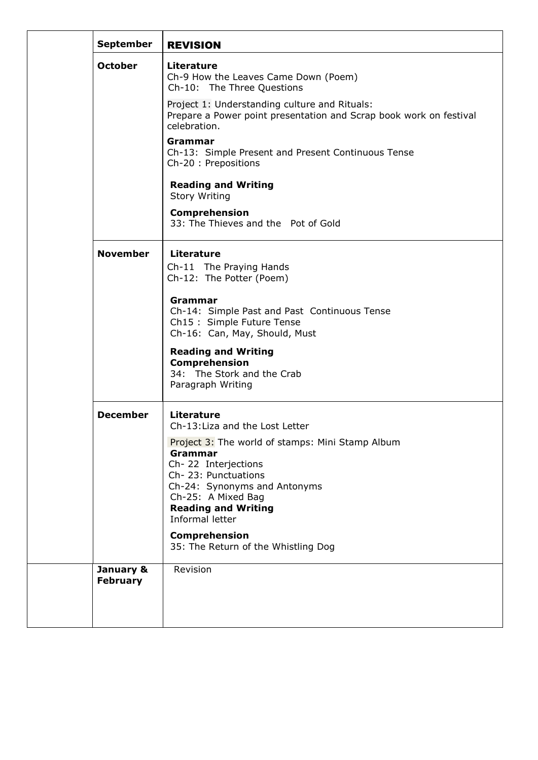| <b>September</b>             | <b>REVISION</b>                                                                                                                                                                                                  |
|------------------------------|------------------------------------------------------------------------------------------------------------------------------------------------------------------------------------------------------------------|
| <b>October</b>               | <b>Literature</b><br>Ch-9 How the Leaves Came Down (Poem)<br>Ch-10: The Three Questions                                                                                                                          |
|                              | Project 1: Understanding culture and Rituals:<br>Prepare a Power point presentation and Scrap book work on festival<br>celebration.                                                                              |
|                              | Grammar<br>Ch-13: Simple Present and Present Continuous Tense<br>Ch-20 : Prepositions                                                                                                                            |
|                              | <b>Reading and Writing</b><br><b>Story Writing</b>                                                                                                                                                               |
|                              | Comprehension<br>33: The Thieves and the Pot of Gold                                                                                                                                                             |
| <b>November</b>              | <b>Literature</b><br>Ch-11 The Praying Hands<br>Ch-12: The Potter (Poem)                                                                                                                                         |
|                              | Grammar<br>Ch-14: Simple Past and Past Continuous Tense<br>Ch15: Simple Future Tense<br>Ch-16: Can, May, Should, Must                                                                                            |
|                              | <b>Reading and Writing</b><br>Comprehension<br>34: The Stork and the Crab<br>Paragraph Writing                                                                                                                   |
| <b>December</b>              | <b>Literature</b><br>Ch-13: Liza and the Lost Letter                                                                                                                                                             |
|                              | Project 3: The world of stamps: Mini Stamp Album<br>Grammar<br>Ch-22 Interjections<br>Ch-23: Punctuations<br>Ch-24: Synonyms and Antonyms<br>Ch-25: A Mixed Bag<br><b>Reading and Writing</b><br>Informal letter |
|                              | Comprehension<br>35: The Return of the Whistling Dog                                                                                                                                                             |
| January &<br><b>February</b> | Revision                                                                                                                                                                                                         |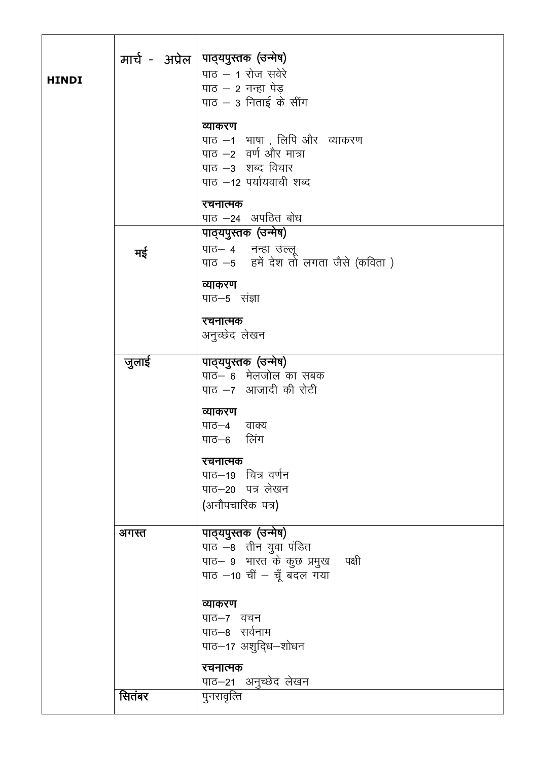|                 | मार्च - अप्रेल  पाद्यपुस्तक (उन्मेष)<br>पाठ $-$ 1 रोज सवेरे<br>पाठ $-$ 2 नन्हा पेड<br>पाठ $-$ 3 निताई के सींग<br>व्याकरण<br>पाठ –1 भाषा , लिपि और व्याकरण<br>पाठ -2 वर्ण और मात्रा<br>पाठ –3 शब्द विचार<br>पाठ –12 पर्यायवाची शब्द<br>रचनात्मक<br>पाठ -24 अपठित बोध |
|-----------------|---------------------------------------------------------------------------------------------------------------------------------------------------------------------------------------------------------------------------------------------------------------------|
| मई              | पाठ्यपुस्तक (उन्मेष)<br>पाठ– ४ नन्हा उल्लू<br>पाठ -5 हमें देश तो लगता जैसे (कविता)<br>व्याकरण<br>पाठ-5 संज्ञा<br>रचनात्मक<br>अनुच्छेद लेखन                                                                                                                          |
| जुलाई           | पाठ्यपुस्तक (उन्मेष)<br>पाठ– 6 मेलजोल का सबक<br>पाठ -7 आजादी की रोटी<br>व्याकरण<br>पाठ–४ वाक्य<br>पाठ–6 लिंग<br>रचनात्मक<br>पाठ-19 चित्र वर्णन<br>पाठ–20 पत्र लेखन<br>(अनौपचारिक पत्र)                                                                              |
| अगस्त<br>सितंबर | पाठ्यपुस्तक (उन्मेष)<br>पाठ –8 तीन युवा पंडित<br>पाठ- 9 भारत के कुछ प्रमुख पक्षी<br>पाठ -10 चीं - चूँ बदल गया<br>व्याकरण<br>पाठ-7 वचन<br>पाठ-8 सर्वनाम<br>पाठ–17 अशुद्धि–शोधन<br>रचनात्मक<br>पाठ–21 अनुच्छेद लेखन<br>पुनरावृत्ति                                    |
|                 |                                                                                                                                                                                                                                                                     |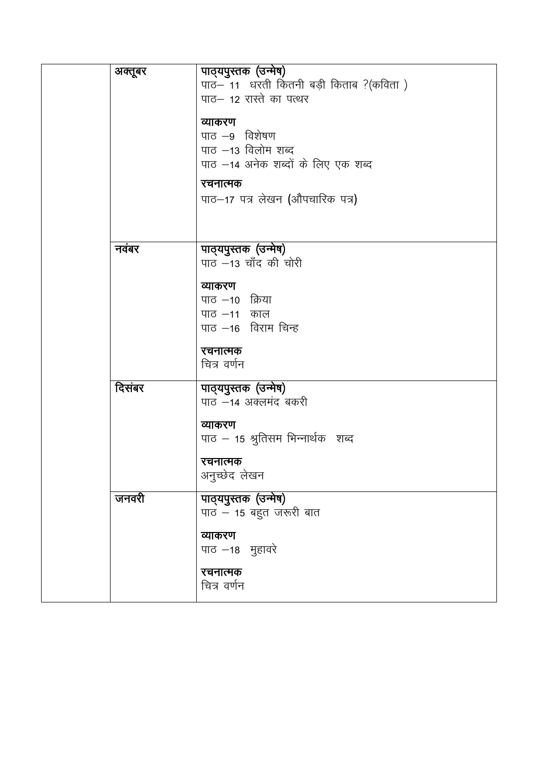| अक्तूबर | पाठ्यपुस्तक (उन्मेष)<br>पाठ- 11 धरती कितनी बड़ी किताब ? (कविता)<br>पाठ– 12 रास्ते का पत्थर<br>व्याकरण<br>पाठ –9 विशेषण<br>पाठ –13 विलोम शब्द<br>पाठ –14 अनेक शब्दों के लिए एक शब्द<br>रचनात्मक<br>पाठ–17 पत्र लेखन (औपचारिक पत्र) |
|---------|-----------------------------------------------------------------------------------------------------------------------------------------------------------------------------------------------------------------------------------|
| नवंबर   | पाठ्यपुस्तक (उन्मेष)<br>पाठ -13 चाँद की चोरी<br>व्याकरण<br>पाठ –10 क्रिया<br>पाठ –11 काल<br>पाठ -16 विराम चिन्ह<br>रचनात्मक<br>चित्र वर्णन                                                                                        |
| दिसंबर  | पाठ्यपुस्तक (उन्मेष)<br>पाठ –14 अक्लमंद बकरी<br>व्याकरण<br>पाठ – 15 श्रुतिसम भिन्नार्थक) शब्द<br>रचनात्मक<br>अनुच्छेद लेखन                                                                                                        |
| जनवरी   | पाठ्यपुस्तक (उन्मेष)<br>पाठ $-$ 15 बहुत जरूरी बात<br>व्याकरण<br>पाठ –18 मुहावरे<br>रचनात्मक<br>चित्र वर्णन                                                                                                                        |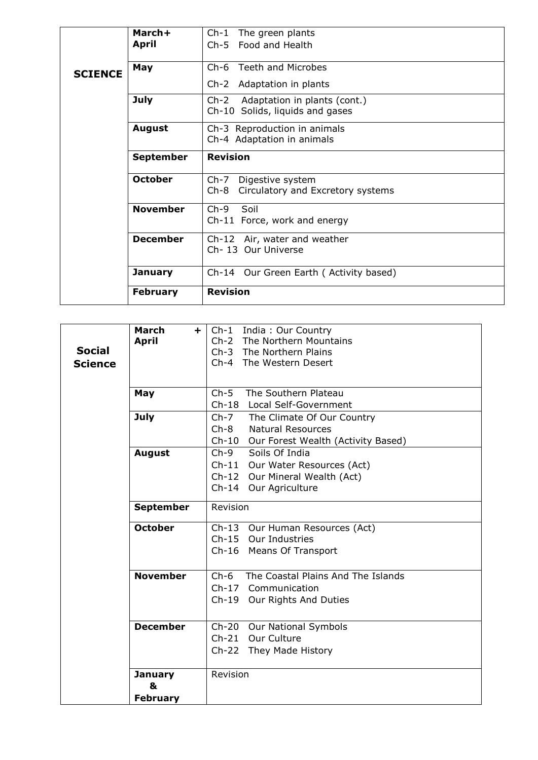|                                     | March+<br><b>April</b> | Ch-1 The green plants<br>Ch-5 Food and Health                             |
|-------------------------------------|------------------------|---------------------------------------------------------------------------|
| <b>SCIENCE</b>                      |                        |                                                                           |
|                                     | May                    | Ch-6 Teeth and Microbes<br>Ch-2 Adaptation in plants                      |
|                                     |                        |                                                                           |
|                                     | <b>July</b>            | Adaptation in plants (cont.)<br>$Ch-2$<br>Ch-10 Solids, liquids and gases |
|                                     | <b>August</b>          | Ch-3 Reproduction in animals<br>Ch-4 Adaptation in animals                |
| <b>Revision</b><br><b>September</b> |                        |                                                                           |
|                                     | <b>October</b>         | Ch-7 Digestive system<br>Circulatory and Excretory systems<br>Ch-8        |
|                                     | <b>November</b>        | $Ch-9$<br>Soil<br>Ch-11 Force, work and energy                            |
|                                     | <b>December</b>        | Ch-12 Air, water and weather<br>Ch-13 Our Universe                        |
|                                     | <b>January</b>         | Ch-14 Our Green Earth (Activity based)                                    |
|                                     | <b>February</b>        | <b>Revision</b>                                                           |

|                | March<br>÷.      | Ch-1 India: Our Country                      |
|----------------|------------------|----------------------------------------------|
|                | <b>April</b>     | Ch-2 The Northern Mountains                  |
| <b>Social</b>  |                  | Ch-3 The Northern Plains                     |
| <b>Science</b> |                  | Ch-4 The Western Desert                      |
|                |                  |                                              |
|                |                  |                                              |
|                | May              | $Ch-5$<br>The Southern Plateau               |
|                |                  | Ch-18 Local Self-Government                  |
|                | <b>July</b>      | Ch-7 The Climate Of Our Country              |
|                |                  | $Ch-8$<br><b>Natural Resources</b>           |
|                |                  |                                              |
|                |                  | Ch-10 Our Forest Wealth (Activity Based)     |
|                | <b>August</b>    | $Ch-9$<br>Soils Of India                     |
|                |                  | $Ch-11$<br>Our Water Resources (Act)         |
|                |                  | Ch-12 Our Mineral Wealth (Act)               |
|                |                  | Ch-14 Our Agriculture                        |
|                |                  |                                              |
|                | <b>September</b> | Revision                                     |
|                |                  |                                              |
|                | <b>October</b>   | Ch-13 Our Human Resources (Act)              |
|                |                  | Ch-15 Our Industries                         |
|                |                  | Ch-16 Means Of Transport                     |
|                |                  |                                              |
|                | <b>November</b>  | $Ch-6$<br>The Coastal Plains And The Islands |
|                |                  |                                              |
|                |                  | Ch-17 Communication                          |
|                |                  | Ch-19<br>Our Rights And Duties               |
|                |                  |                                              |
|                | <b>December</b>  | Ch-20 Our National Symbols                   |
|                |                  | Ch-21 Our Culture                            |
|                |                  | Ch-22 They Made History                      |
|                |                  |                                              |
|                | <b>January</b>   | Revision                                     |
|                |                  |                                              |
|                | &                |                                              |
|                | <b>February</b>  |                                              |